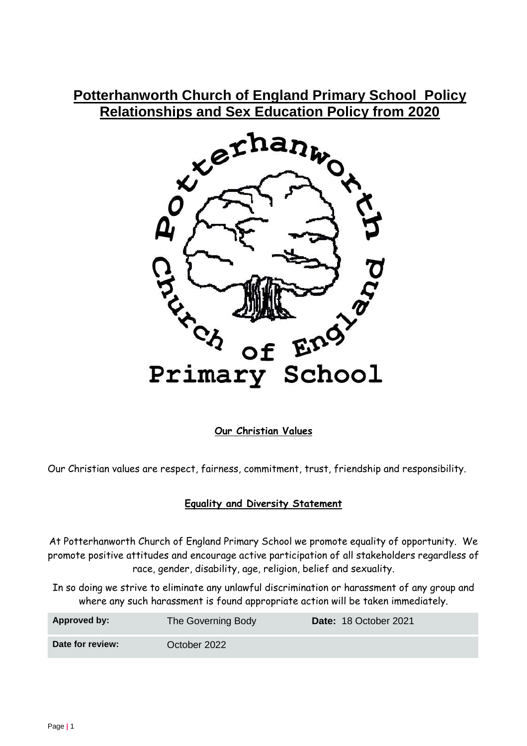# **Potterhanworth Church of England Primary School Policy Relationships and Sex Education Policy from 2020**



**Our Christian Values**

Our Christian values are respect, fairness, commitment, trust, friendship and responsibility.

### **Equality and Diversity Statement**

At Potterhanworth Church of England Primary School we promote equality of opportunity. We promote positive attitudes and encourage active participation of all stakeholders regardless of race, gender, disability, age, religion, belief and sexuality.

In so doing we strive to eliminate any unlawful discrimination or harassment of any group and where any such harassment is found appropriate action will be taken immediately.

| Approved by:     | The Governing Body | Date: 18 October 2021 |
|------------------|--------------------|-----------------------|
| Date for review: | October 2022       |                       |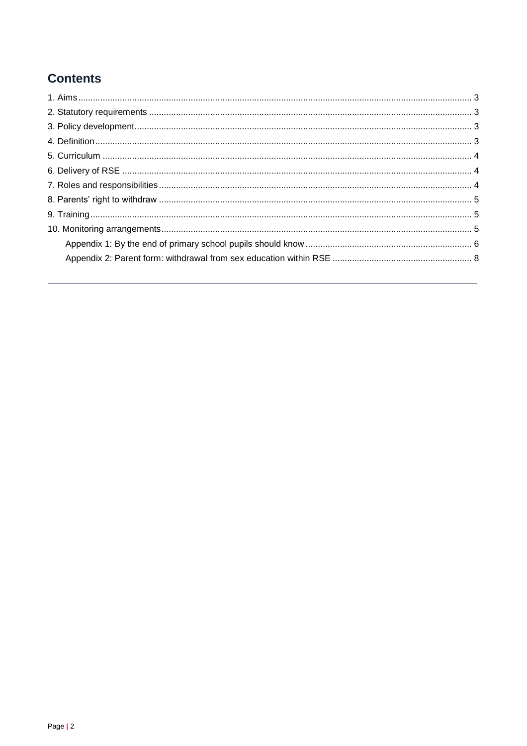# **Contents**

<span id="page-1-0"></span>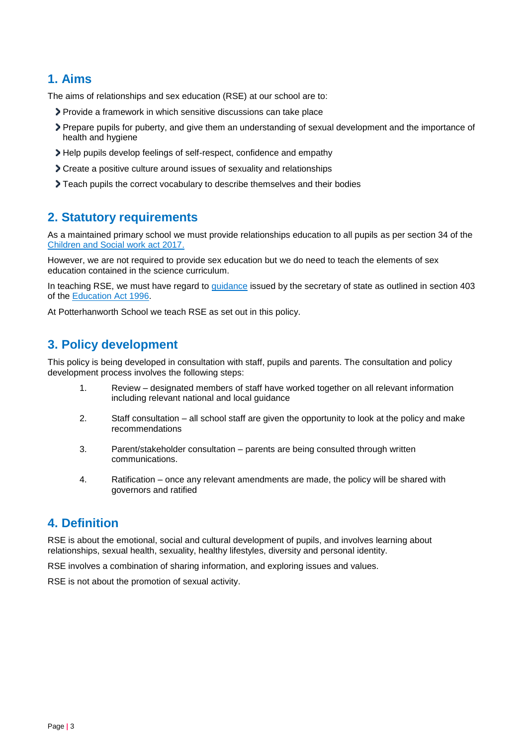# **1. Aims**

The aims of relationships and sex education (RSE) at our school are to:

- Provide a framework in which sensitive discussions can take place
- Prepare pupils for puberty, and give them an understanding of sexual development and the importance of health and hygiene
- Help pupils develop feelings of self-respect, confidence and empathy
- Create a positive culture around issues of sexuality and relationships
- Teach pupils the correct vocabulary to describe themselves and their bodies

# <span id="page-2-0"></span>**2. Statutory requirements**

As a maintained primary school we must provide relationships education to all pupils as per section 34 of the [Children and Social work act 2017.](http://www.legislation.gov.uk/ukpga/2017/16/section/34/enacted)

However, we are not required to provide sex education but we do need to teach the elements of sex education contained in the science curriculum.

In teaching RSE, we must have regard to [guidance](https://www.gov.uk/government/consultations/relationships-and-sex-education-and-health-education) issued by the secretary of state as outlined in section 403 of the [Education Act 1996.](http://www.legislation.gov.uk/ukpga/1996/56/contents)

At Potterhanworth School we teach RSE as set out in this policy.

# <span id="page-2-1"></span>**3. Policy development**

This policy is being developed in consultation with staff, pupils and parents. The consultation and policy development process involves the following steps:

- 1. Review designated members of staff have worked together on all relevant information including relevant national and local guidance
- 2. Staff consultation all school staff are given the opportunity to look at the policy and make recommendations
- 3. Parent/stakeholder consultation parents are being consulted through written communications.
- 4. Ratification once any relevant amendments are made, the policy will be shared with governors and ratified

### <span id="page-2-2"></span>**4. Definition**

RSE is about the emotional, social and cultural development of pupils, and involves learning about relationships, sexual health, sexuality, healthy lifestyles, diversity and personal identity.

RSE involves a combination of sharing information, and exploring issues and values.

<span id="page-2-3"></span>RSE is not about the promotion of sexual activity.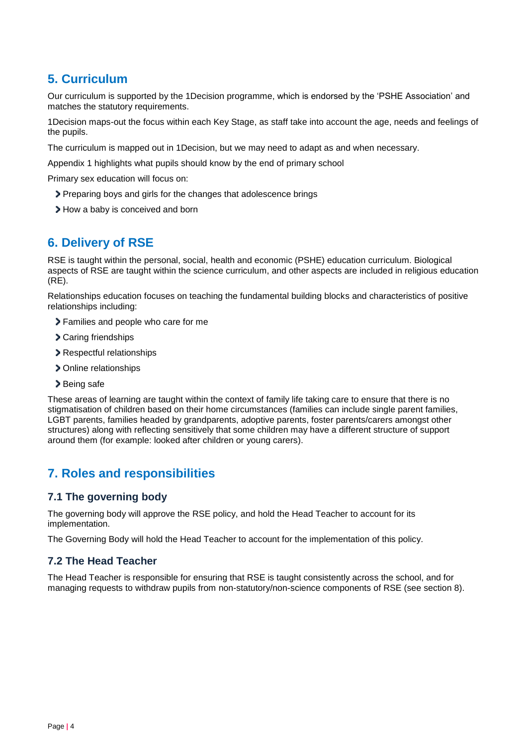# **5. Curriculum**

Our curriculum is supported by the 1Decision programme, which is endorsed by the 'PSHE Association' and matches the statutory requirements.

1Decision maps-out the focus within each Key Stage, as staff take into account the age, needs and feelings of the pupils.

The curriculum is mapped out in 1Decision, but we may need to adapt as and when necessary.

Appendix 1 highlights what pupils should know by the end of primary school

Primary sex education will focus on:

- Preparing boys and girls for the changes that adolescence brings
- > How a baby is conceived and born

# <span id="page-3-0"></span>**6. Delivery of RSE**

RSE is taught within the personal, social, health and economic (PSHE) education curriculum. Biological aspects of RSE are taught within the science curriculum, and other aspects are included in religious education (RE).

Relationships education focuses on teaching the fundamental building blocks and characteristics of positive relationships including:

- > Families and people who care for me
- > Caring friendships
- Respectful relationships
- > Online relationships
- > Being safe

These areas of learning are taught within the context of family life taking care to ensure that there is no stigmatisation of children based on their home circumstances (families can include single parent families, LGBT parents, families headed by grandparents, adoptive parents, foster parents/carers amongst other structures) along with reflecting sensitively that some children may have a different structure of support around them (for example: looked after children or young carers).

# <span id="page-3-1"></span>**7. Roles and responsibilities**

#### **7.1 The governing body**

The governing body will approve the RSE policy, and hold the Head Teacher to account for its implementation.

The Governing Body will hold the Head Teacher to account for the implementation of this policy.

#### **7.2 The Head Teacher**

The Head Teacher is responsible for ensuring that RSE is taught consistently across the school, and for managing requests to withdraw pupils from non-statutory/non-science components of RSE (see section 8).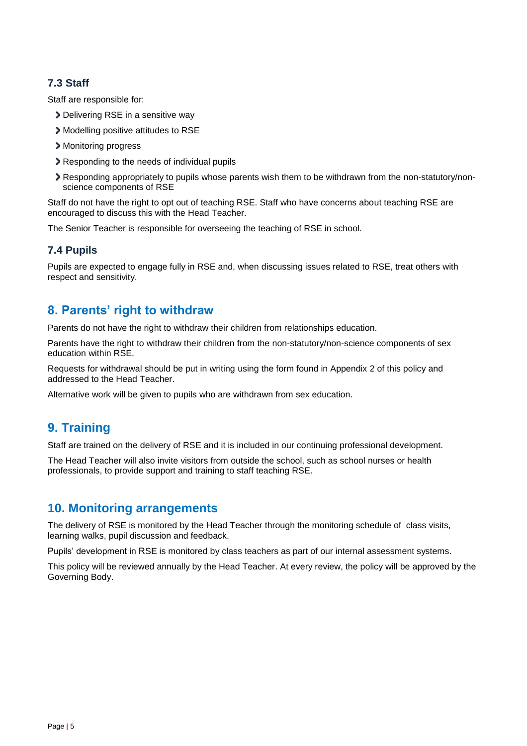### **7.3 Staff**

Staff are responsible for:

- > Delivering RSE in a sensitive way
- Modelling positive attitudes to RSE
- Monitoring progress
- **>** Responding to the needs of individual pupils
- Responding appropriately to pupils whose parents wish them to be withdrawn from the non-statutory/nonscience components of RSE

Staff do not have the right to opt out of teaching RSE. Staff who have concerns about teaching RSE are encouraged to discuss this with the Head Teacher.

The Senior Teacher is responsible for overseeing the teaching of RSE in school.

#### **7.4 Pupils**

Pupils are expected to engage fully in RSE and, when discussing issues related to RSE, treat others with respect and sensitivity.

# <span id="page-4-0"></span>**8. Parents' right to withdraw**

Parents do not have the right to withdraw their children from relationships education.

Parents have the right to withdraw their children from the non-statutory/non-science components of sex education within RSE.

Requests for withdrawal should be put in writing using the form found in Appendix 2 of this policy and addressed to the Head Teacher.

Alternative work will be given to pupils who are withdrawn from sex education.

### <span id="page-4-1"></span>**9. Training**

Staff are trained on the delivery of RSE and it is included in our continuing professional development.

The Head Teacher will also invite visitors from outside the school, such as school nurses or health professionals, to provide support and training to staff teaching RSE.

### <span id="page-4-2"></span>**10. Monitoring arrangements**

The delivery of RSE is monitored by the Head Teacher through the monitoring schedule of class visits, learning walks, pupil discussion and feedback.

Pupils' development in RSE is monitored by class teachers as part of our internal assessment systems.

This policy will be reviewed annually by the Head Teacher. At every review, the policy will be approved by the Governing Body.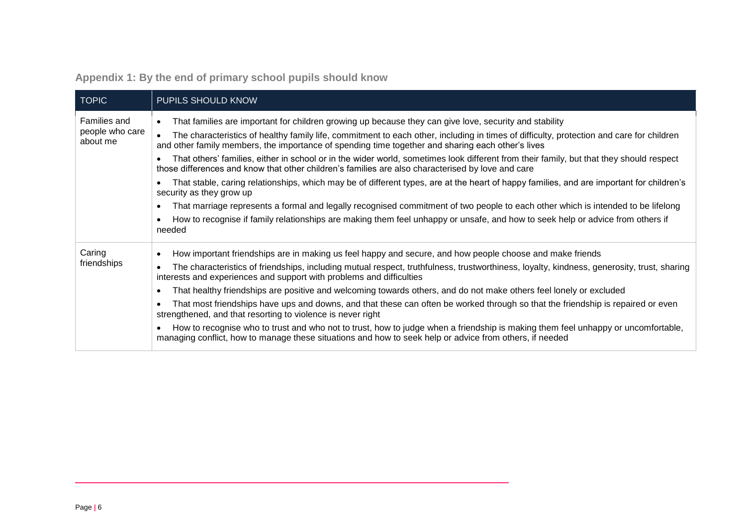| Appendix 1: By the end of primary school pupils should know |  |  |  |  |  |
|-------------------------------------------------------------|--|--|--|--|--|
|                                                             |  |  |  |  |  |

<span id="page-5-0"></span>

| <b>TOPIC</b>                                | PUPILS SHOULD KNOW                                                                                                                                                                                                                                                                                                                                                                                                                                                                                                                                                                                                                                                                                                                                                                                                                                                                                                                                                                                                                                                                |
|---------------------------------------------|-----------------------------------------------------------------------------------------------------------------------------------------------------------------------------------------------------------------------------------------------------------------------------------------------------------------------------------------------------------------------------------------------------------------------------------------------------------------------------------------------------------------------------------------------------------------------------------------------------------------------------------------------------------------------------------------------------------------------------------------------------------------------------------------------------------------------------------------------------------------------------------------------------------------------------------------------------------------------------------------------------------------------------------------------------------------------------------|
| Families and<br>people who care<br>about me | That families are important for children growing up because they can give love, security and stability<br>$\bullet$<br>The characteristics of healthy family life, commitment to each other, including in times of difficulty, protection and care for children<br>and other family members, the importance of spending time together and sharing each other's lives<br>That others' families, either in school or in the wider world, sometimes look different from their family, but that they should respect<br>those differences and know that other children's families are also characterised by love and care<br>That stable, caring relationships, which may be of different types, are at the heart of happy families, and are important for children's<br>security as they grow up<br>That marriage represents a formal and legally recognised commitment of two people to each other which is intended to be lifelong<br>٠<br>How to recognise if family relationships are making them feel unhappy or unsafe, and how to seek help or advice from others if<br>needed |
| Caring<br>friendships                       | How important friendships are in making us feel happy and secure, and how people choose and make friends<br>The characteristics of friendships, including mutual respect, truthfulness, trustworthiness, loyalty, kindness, generosity, trust, sharing<br>interests and experiences and support with problems and difficulties<br>That healthy friendships are positive and welcoming towards others, and do not make others feel lonely or excluded<br>٠<br>That most friendships have ups and downs, and that these can often be worked through so that the friendship is repaired or even<br>strengthened, and that resorting to violence is never right<br>How to recognise who to trust and who not to trust, how to judge when a friendship is making them feel unhappy or uncomfortable,<br>managing conflict, how to manage these situations and how to seek help or advice from others, if needed                                                                                                                                                                        |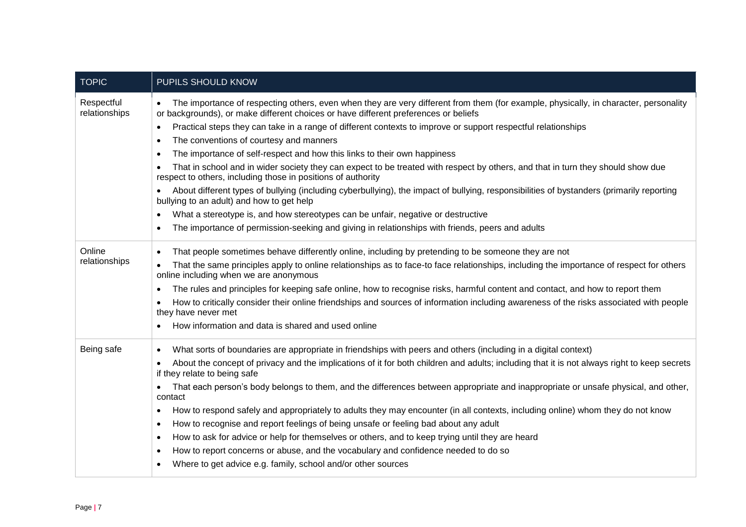| <b>TOPIC</b>                | PUPILS SHOULD KNOW                                                                                                                                                                                                          |
|-----------------------------|-----------------------------------------------------------------------------------------------------------------------------------------------------------------------------------------------------------------------------|
| Respectful<br>relationships | The importance of respecting others, even when they are very different from them (for example, physically, in character, personality<br>or backgrounds), or make different choices or have different preferences or beliefs |
|                             | Practical steps they can take in a range of different contexts to improve or support respectful relationships<br>$\bullet$                                                                                                  |
|                             | The conventions of courtesy and manners<br>$\bullet$                                                                                                                                                                        |
|                             | The importance of self-respect and how this links to their own happiness<br>$\bullet$                                                                                                                                       |
|                             | That in school and in wider society they can expect to be treated with respect by others, and that in turn they should show due<br>respect to others, including those in positions of authority                             |
|                             | About different types of bullying (including cyberbullying), the impact of bullying, responsibilities of bystanders (primarily reporting<br>bullying to an adult) and how to get help                                       |
|                             | What a stereotype is, and how stereotypes can be unfair, negative or destructive<br>$\bullet$                                                                                                                               |
|                             | The importance of permission-seeking and giving in relationships with friends, peers and adults                                                                                                                             |
| Online                      | That people sometimes behave differently online, including by pretending to be someone they are not                                                                                                                         |
| relationships               | That the same principles apply to online relationships as to face-to face relationships, including the importance of respect for others<br>online including when we are anonymous                                           |
|                             | The rules and principles for keeping safe online, how to recognise risks, harmful content and contact, and how to report them                                                                                               |
|                             | How to critically consider their online friendships and sources of information including awareness of the risks associated with people<br>they have never met                                                               |
|                             | How information and data is shared and used online                                                                                                                                                                          |
| Being safe                  | What sorts of boundaries are appropriate in friendships with peers and others (including in a digital context)<br>$\bullet$                                                                                                 |
|                             | About the concept of privacy and the implications of it for both children and adults; including that it is not always right to keep secrets<br>$\bullet$<br>if they relate to being safe                                    |
|                             | That each person's body belongs to them, and the differences between appropriate and inappropriate or unsafe physical, and other,<br>$\bullet$<br>contact                                                                   |
|                             | How to respond safely and appropriately to adults they may encounter (in all contexts, including online) whom they do not know<br>$\bullet$                                                                                 |
|                             | How to recognise and report feelings of being unsafe or feeling bad about any adult<br>$\bullet$                                                                                                                            |
|                             | How to ask for advice or help for themselves or others, and to keep trying until they are heard<br>$\bullet$                                                                                                                |
|                             | How to report concerns or abuse, and the vocabulary and confidence needed to do so<br>$\bullet$                                                                                                                             |
|                             | Where to get advice e.g. family, school and/or other sources                                                                                                                                                                |